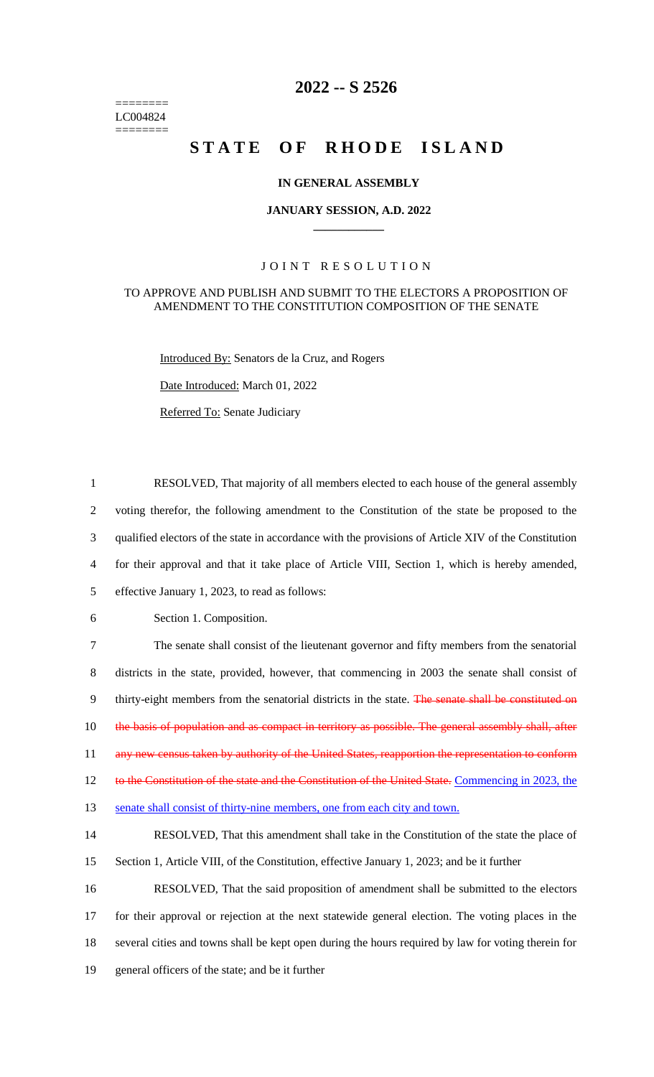======== LC004824 ========

# **2022 -- S 2526**

# STATE OF RHODE ISLAND

#### **IN GENERAL ASSEMBLY**

#### **JANUARY SESSION, A.D. 2022 \_\_\_\_\_\_\_\_\_\_\_\_**

## JOINT RESOLUTION

#### TO APPROVE AND PUBLISH AND SUBMIT TO THE ELECTORS A PROPOSITION OF AMENDMENT TO THE CONSTITUTION COMPOSITION OF THE SENATE

Introduced By: Senators de la Cruz, and Rogers

Date Introduced: March 01, 2022

Referred To: Senate Judiciary

 RESOLVED, That majority of all members elected to each house of the general assembly voting therefor, the following amendment to the Constitution of the state be proposed to the qualified electors of the state in accordance with the provisions of Article XIV of the Constitution for their approval and that it take place of Article VIII, Section 1, which is hereby amended, effective January 1, 2023, to read as follows: Section 1. Composition. The senate shall consist of the lieutenant governor and fifty members from the senatorial districts in the state, provided, however, that commencing in 2003 the senate shall consist of 9 thirty-eight members from the senatorial districts in the state. The senate shall be constituted on 10 the basis of population and as compact in territory as possible. The general assembly shall, after 11 any new census taken by authority of the United States, reapportion the representation to conform 12 to the Constitution of the state and the Constitution of the United State. Commencing in 2023, the 13 senate shall consist of thirty-nine members, one from each city and town. RESOLVED, That this amendment shall take in the Constitution of the state the place of Section 1, Article VIII, of the Constitution, effective January 1, 2023; and be it further RESOLVED, That the said proposition of amendment shall be submitted to the electors for their approval or rejection at the next statewide general election. The voting places in the several cities and towns shall be kept open during the hours required by law for voting therein for general officers of the state; and be it further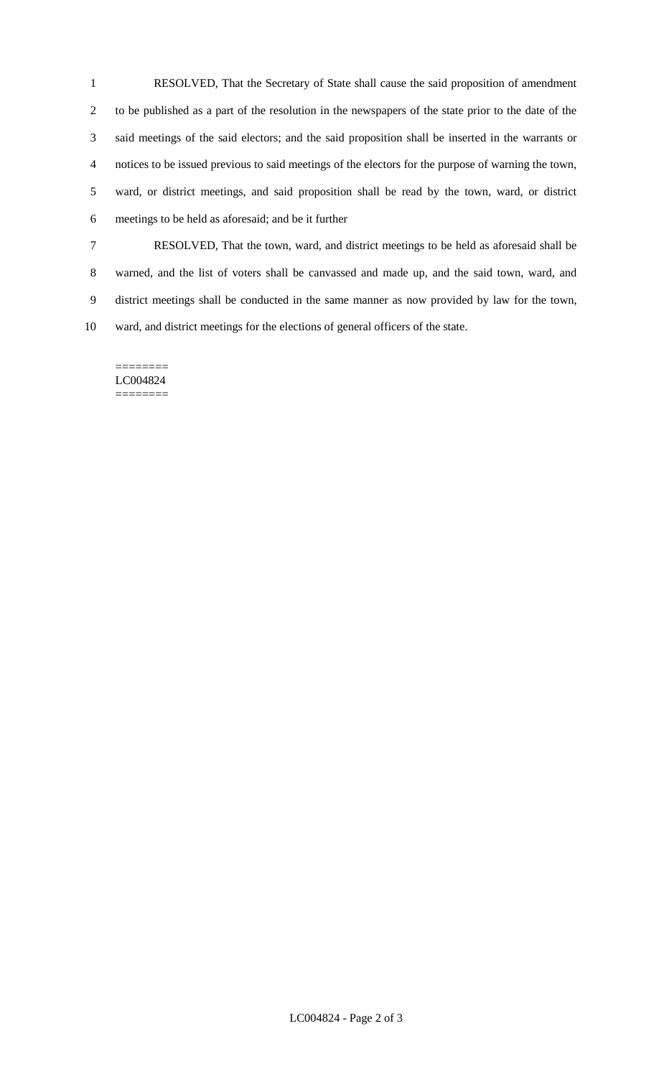RESOLVED, That the Secretary of State shall cause the said proposition of amendment to be published as a part of the resolution in the newspapers of the state prior to the date of the said meetings of the said electors; and the said proposition shall be inserted in the warrants or notices to be issued previous to said meetings of the electors for the purpose of warning the town, ward, or district meetings, and said proposition shall be read by the town, ward, or district meetings to be held as aforesaid; and be it further

 RESOLVED, That the town, ward, and district meetings to be held as aforesaid shall be warned, and the list of voters shall be canvassed and made up, and the said town, ward, and district meetings shall be conducted in the same manner as now provided by law for the town, ward, and district meetings for the elections of general officers of the state.

======== LC004824 ========